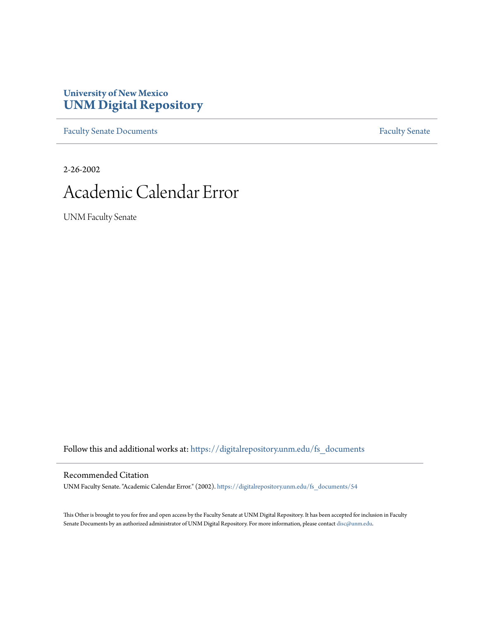# **University of New Mexico [UNM Digital Repository](https://digitalrepository.unm.edu?utm_source=digitalrepository.unm.edu%2Ffs_documents%2F54&utm_medium=PDF&utm_campaign=PDFCoverPages)**

[Faculty Senate Documents](https://digitalrepository.unm.edu/fs_documents?utm_source=digitalrepository.unm.edu%2Ffs_documents%2F54&utm_medium=PDF&utm_campaign=PDFCoverPages) **[Faculty Senate](https://digitalrepository.unm.edu/faculty_senate?utm_source=digitalrepository.unm.edu%2Ffs_documents%2F54&utm_medium=PDF&utm_campaign=PDFCoverPages)** Procuments **Faculty** Senate

2-26-2002

# Academic Calendar Error

UNM Faculty Senate

Follow this and additional works at: [https://digitalrepository.unm.edu/fs\\_documents](https://digitalrepository.unm.edu/fs_documents?utm_source=digitalrepository.unm.edu%2Ffs_documents%2F54&utm_medium=PDF&utm_campaign=PDFCoverPages)

#### Recommended Citation

UNM Faculty Senate. "Academic Calendar Error." (2002). [https://digitalrepository.unm.edu/fs\\_documents/54](https://digitalrepository.unm.edu/fs_documents/54?utm_source=digitalrepository.unm.edu%2Ffs_documents%2F54&utm_medium=PDF&utm_campaign=PDFCoverPages)

This Other is brought to you for free and open access by the Faculty Senate at UNM Digital Repository. It has been accepted for inclusion in Faculty Senate Documents by an authorized administrator of UNM Digital Repository. For more information, please contact [disc@unm.edu.](mailto:disc@unm.edu)